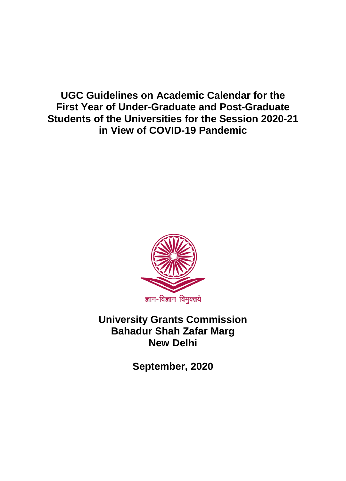**UGC Guidelines on Academic Calendar for the First Year of Under-Graduate and Post-Graduate Students of the Universities for the Session 2020-21 in View of COVID-19 Pandemic** 



**University Grants Commission Bahadur Shah Zafar Marg New Delhi**

**September, 2020**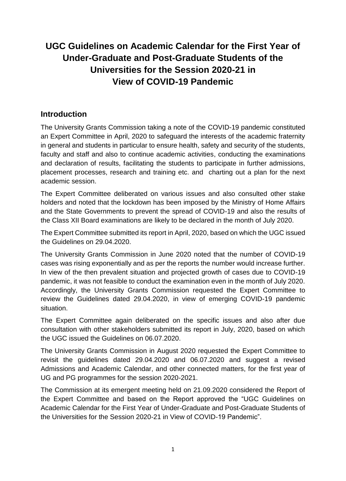## **UGC Guidelines on Academic Calendar for the First Year of Under-Graduate and Post-Graduate Students of the Universities for the Session 2020-21 in View of COVID-19 Pandemic**

## **Introduction**

The University Grants Commission taking a note of the COVID-19 pandemic constituted an Expert Committee in April, 2020 to safeguard the interests of the academic fraternity in general and students in particular to ensure health, safety and security of the students, faculty and staff and also to continue academic activities, conducting the examinations and declaration of results, facilitating the students to participate in further admissions, placement processes, research and training etc. and charting out a plan for the next academic session.

The Expert Committee deliberated on various issues and also consulted other stake holders and noted that the lockdown has been imposed by the Ministry of Home Affairs and the State Governments to prevent the spread of COVID-19 and also the results of the Class XII Board examinations are likely to be declared in the month of July 2020.

The Expert Committee submitted its report in April, 2020, based on which the UGC issued the Guidelines on 29.04.2020.

The University Grants Commission in June 2020 noted that the number of COVID-19 cases was rising exponentially and as per the reports the number would increase further. In view of the then prevalent situation and projected growth of cases due to COVID-19 pandemic, it was not feasible to conduct the examination even in the month of July 2020. Accordingly, the University Grants Commission requested the Expert Committee to review the Guidelines dated 29.04.2020, in view of emerging COVID-19 pandemic situation.

The Expert Committee again deliberated on the specific issues and also after due consultation with other stakeholders submitted its report in July, 2020, based on which the UGC issued the Guidelines on 06.07.2020.

The University Grants Commission in August 2020 requested the Expert Committee to revisit the guidelines dated 29.04.2020 and 06.07.2020 and suggest a revised Admissions and Academic Calendar, and other connected matters, for the first year of UG and PG programmes for the session 2020-2021.

The Commission at its emergent meeting held on 21.09.2020 considered the Report of the Expert Committee and based on the Report approved the "UGC Guidelines on Academic Calendar for the First Year of Under-Graduate and Post-Graduate Students of the Universities for the Session 2020-21 in View of COVID-19 Pandemic".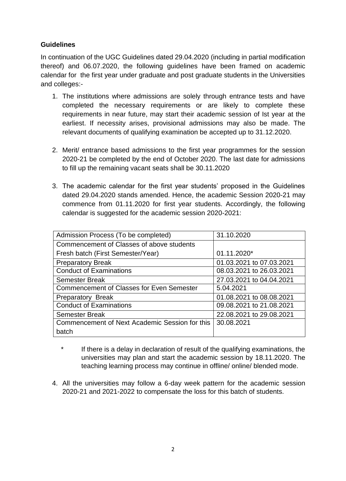## **Guidelines**

In continuation of the UGC Guidelines dated 29.04.2020 (including in partial modification thereof) and 06.07.2020, the following guidelines have been framed on academic calendar for the first year under graduate and post graduate students in the Universities and colleges:-

- 1. The institutions where admissions are solely through entrance tests and have completed the necessary requirements or are likely to complete these requirements in near future, may start their academic session of Ist year at the earliest. If necessity arises, provisional admissions may also be made. The relevant documents of qualifying examination be accepted up to 31.12.2020.
- 2. Merit/ entrance based admissions to the first year programmes for the session 2020-21 be completed by the end of October 2020. The last date for admissions to fill up the remaining vacant seats shall be 30.11.2020
- 3. The academic calendar for the first year students' proposed in the Guidelines dated 29.04.2020 stands amended. Hence, the academic Session 2020-21 may commence from 01.11.2020 for first year students. Accordingly, the following calendar is suggested for the academic session 2020-2021:

| Admission Process (To be completed)              | 31.10.2020               |
|--------------------------------------------------|--------------------------|
| Commencement of Classes of above students        |                          |
| Fresh batch (First Semester/Year)                | 01.11.2020*              |
| <b>Preparatory Break</b>                         | 01.03.2021 to 07.03.2021 |
| <b>Conduct of Examinations</b>                   | 08.03.2021 to 26.03.2021 |
| <b>Semester Break</b>                            | 27.03.2021 to 04.04.2021 |
| <b>Commencement of Classes for Even Semester</b> | 5.04.2021                |
| <b>Preparatory Break</b>                         | 01.08.2021 to 08.08.2021 |
| <b>Conduct of Examinations</b>                   | 09.08.2021 to 21.08.2021 |
| <b>Semester Break</b>                            | 22.08.2021 to 29.08.2021 |
| Commencement of Next Academic Session for this   | 30.08.2021               |
| batch                                            |                          |

- \* If there is a delay in declaration of result of the qualifying examinations, the universities may plan and start the academic session by 18.11.2020. The teaching learning process may continue in offline/ online/ blended mode.
- 4. All the universities may follow a 6-day week pattern for the academic session 2020-21 and 2021-2022 to compensate the loss for this batch of students.